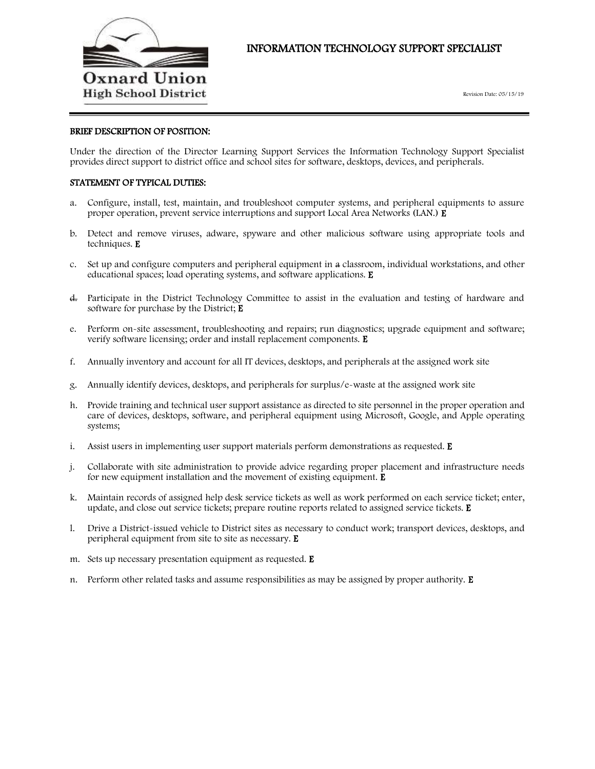

# INFORMATION TECHNOLOGY SUPPORT SPECIALIST

#### BRIEF DESCRIPTION OF POSITION:

Under the direction of the Director Learning Support Services the Information Technology Support Specialist provides direct support to district office and school sites for software, desktops, devices, and peripherals.

## STATEMENT OF TYPICAL DUTIES:

- a. Configure, install, test, maintain, and troubleshoot computer systems, and peripheral equipments to assure proper operation, prevent service interruptions and support Local Area Networks (LAN.) E
- b. Detect and remove viruses, adware, spyware and other malicious software using appropriate tools and techniques. E
- c. Set up and configure computers and peripheral equipment in a classroom, individual workstations, and other educational spaces; load operating systems, and software applications. E
- d. Participate in the District Technology Committee to assist in the evaluation and testing of hardware and software for purchase by the District; E
- e. Perform on-site assessment, troubleshooting and repairs; run diagnostics; upgrade equipment and software; verify software licensing; order and install replacement components. E
- f. Annually inventory and account for all IT devices, desktops, and peripherals at the assigned work site
- g. Annually identify devices, desktops, and peripherals for surplus/e-waste at the assigned work site
- h. Provide training and technical user support assistance as directed to site personnel in the proper operation and care of devices, desktops, software, and peripheral equipment using Microsoft, Google, and Apple operating systems;
- i. Assist users in implementing user support materials perform demonstrations as requested. E
- j. Collaborate with site administration to provide advice regarding proper placement and infrastructure needs for new equipment installation and the movement of existing equipment.  $E$
- k. Maintain records of assigned help desk service tickets as well as work performed on each service ticket; enter, update, and close out service tickets; prepare routine reports related to assigned service tickets.  $E$
- l. Drive a District-issued vehicle to District sites as necessary to conduct work; transport devices, desktops, and peripheral equipment from site to site as necessary. E
- m. Sets up necessary presentation equipment as requested. E
- n. Perform other related tasks and assume responsibilities as may be assigned by proper authority. E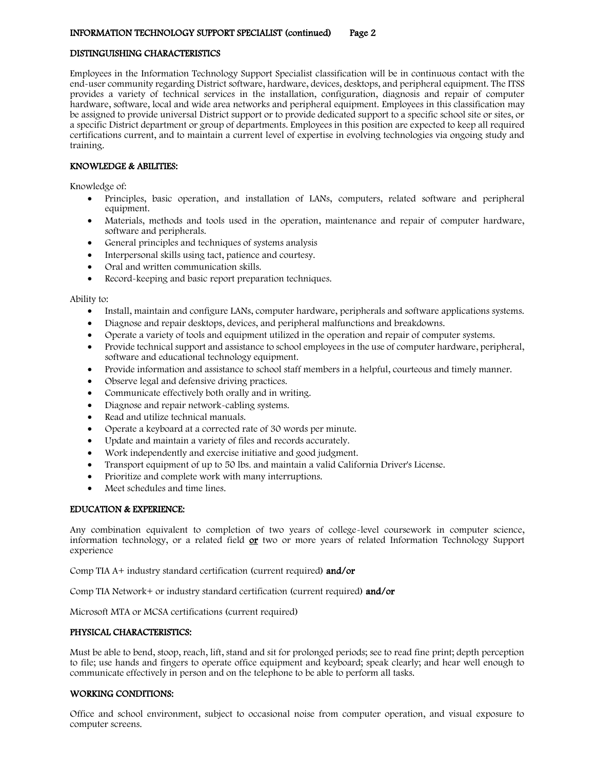## DISTINGUISHING CHARACTERISTICS

Employees in the Information Technology Support Specialist classification will be in continuous contact with the end-user community regarding District software, hardware, devices, desktops, and peripheral equipment. The ITSS provides a variety of technical services in the installation, configuration, diagnosis and repair of computer hardware, software, local and wide area networks and peripheral equipment. Employees in this classification may be assigned to provide universal District support or to provide dedicated support to a specific school site or sites, or a specific District department or group of departments. Employees in this position are expected to keep all required certifications current, and to maintain a current level of expertise in evolving technologies via ongoing study and training.

## KNOWLEDGE & ABILITIES:

Knowledge of:

- Principles, basic operation, and installation of LANs, computers, related software and peripheral equipment.
- Materials, methods and tools used in the operation, maintenance and repair of computer hardware, software and peripherals.
- General principles and techniques of systems analysis
- Interpersonal skills using tact, patience and courtesy.
- Oral and written communication skills.
- Record-keeping and basic report preparation techniques.

### Ability to:

- Install, maintain and configure LANs, computer hardware, peripherals and software applications systems.
- Diagnose and repair desktops, devices, and peripheral malfunctions and breakdowns.
- Operate a variety of tools and equipment utilized in the operation and repair of computer systems.
- Provide technical support and assistance to school employees in the use of computer hardware, peripheral, software and educational technology equipment.
- Provide information and assistance to school staff members in a helpful, courteous and timely manner.
- Observe legal and defensive driving practices.
- Communicate effectively both orally and in writing.
- Diagnose and repair network-cabling systems.
- Read and utilize technical manuals.
- Operate a keyboard at a corrected rate of 30 words per minute.
- Update and maintain a variety of files and records accurately.
- Work independently and exercise initiative and good judgment.
- Transport equipment of up to 50 lbs. and maintain a valid California Driver's License.
- Prioritize and complete work with many interruptions.
- Meet schedules and time lines.

### EDUCATION & EXPERIENCE:

Any combination equivalent to completion of two years of college-level coursework in computer science, information technology, or a related field  $or$  two or more years of related Information Technology Support experience

Comp TIA A+ industry standard certification (current required) and/or

Comp TIA Network+ or industry standard certification (current required) and/or

Microsoft MTA or MCSA certifications (current required)

## PHYSICAL CHARACTERISTICS:

Must be able to bend, stoop, reach, lift, stand and sit for prolonged periods; see to read fine print; depth perception to file; use hands and fingers to operate office equipment and keyboard; speak clearly; and hear well enough to communicate effectively in person and on the telephone to be able to perform all tasks.

### WORKING CONDITIONS:

Office and school environment, subject to occasional noise from computer operation, and visual exposure to computer screens.